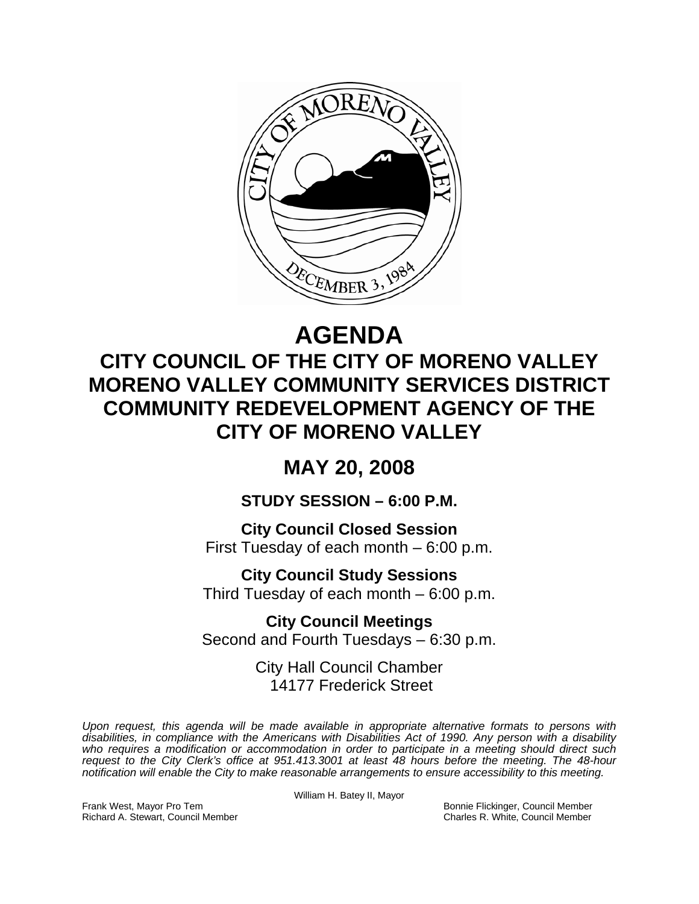

# **AGENDA**

## **CITY COUNCIL OF THE CITY OF MORENO VALLEY MORENO VALLEY COMMUNITY SERVICES DISTRICT COMMUNITY REDEVELOPMENT AGENCY OF THE CITY OF MORENO VALLEY**

## **MAY 20, 2008**

## **STUDY SESSION – 6:00 P.M.**

**City Council Closed Session**  First Tuesday of each month – 6:00 p.m.

**City Council Study Sessions**  Third Tuesday of each month – 6:00 p.m.

**City Council Meetings**  Second and Fourth Tuesdays – 6:30 p.m.

> City Hall Council Chamber 14177 Frederick Street

*Upon request, this agenda will be made available in appropriate alternative formats to persons with disabilities, in compliance with the Americans with Disabilities Act of 1990. Any person with a disability*  who requires a modification or accommodation in order to participate in a meeting should direct such *request to the City Clerk's office at 951.413.3001 at least 48 hours before the meeting. The 48-hour notification will enable the City to make reasonable arrangements to ensure accessibility to this meeting.* 

William H. Batey II, Mayor

Frank West, Mayor Pro Tem Bonnie Flickinger, Council Member Richard A. Stewart, Council Member Charles R. White, Council Member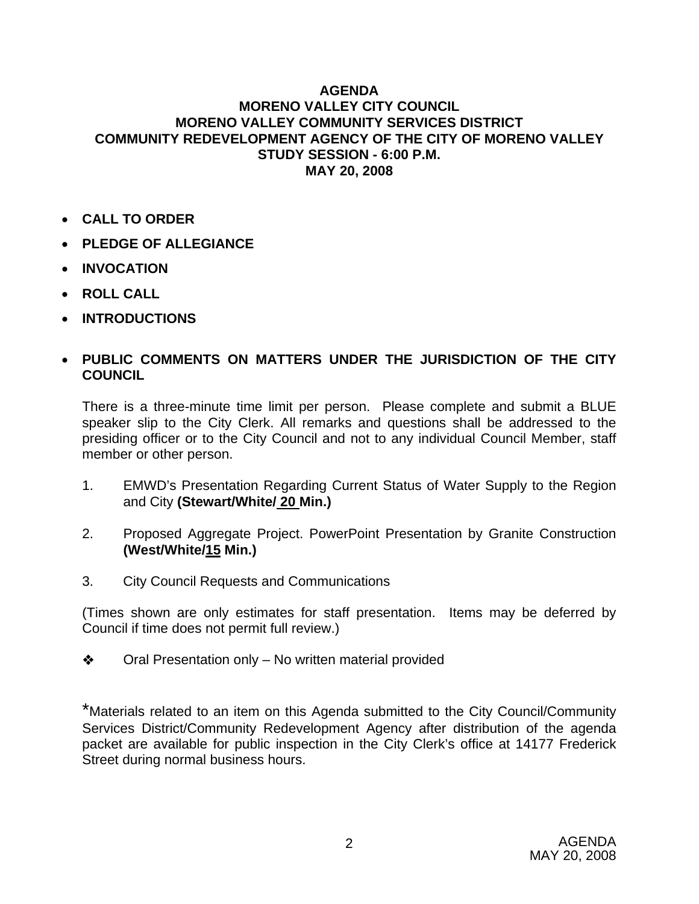#### **AGENDA MORENO VALLEY CITY COUNCIL MORENO VALLEY COMMUNITY SERVICES DISTRICT COMMUNITY REDEVELOPMENT AGENCY OF THE CITY OF MORENO VALLEY STUDY SESSION - 6:00 P.M. MAY 20, 2008**

- **CALL TO ORDER**
- **PLEDGE OF ALLEGIANCE**
- **INVOCATION**
- **ROLL CALL**
- **INTRODUCTIONS**

### • **PUBLIC COMMENTS ON MATTERS UNDER THE JURISDICTION OF THE CITY COUNCIL**

There is a three-minute time limit per person. Please complete and submit a BLUE speaker slip to the City Clerk. All remarks and questions shall be addressed to the presiding officer or to the City Council and not to any individual Council Member, staff member or other person.

- 1. EMWD's Presentation Regarding Current Status of Water Supply to the Region and City **(Stewart/White/ 20 Min.)**
- 2. Proposed Aggregate Project. PowerPoint Presentation by Granite Construction **(West/White/15 Min.)**
- 3. City Council Requests and Communications

(Times shown are only estimates for staff presentation. Items may be deferred by Council if time does not permit full review.)

◆ Oral Presentation only – No written material provided

\*Materials related to an item on this Agenda submitted to the City Council/Community Services District/Community Redevelopment Agency after distribution of the agenda packet are available for public inspection in the City Clerk's office at 14177 Frederick Street during normal business hours.